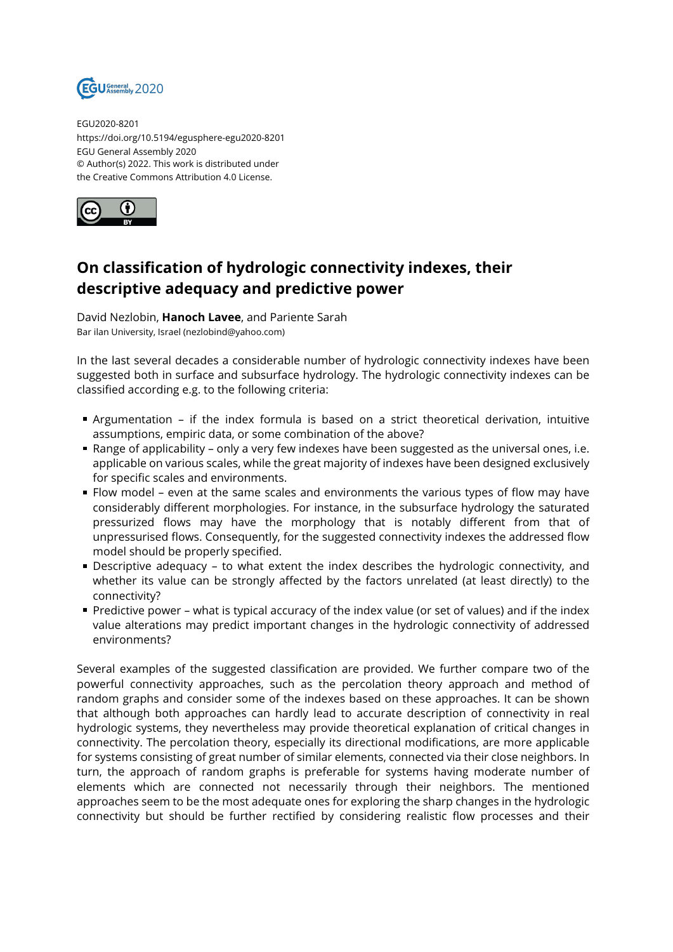

EGU2020-8201 https://doi.org/10.5194/egusphere-egu2020-8201 EGU General Assembly 2020 © Author(s) 2022. This work is distributed under the Creative Commons Attribution 4.0 License.



## **On classification of hydrologic connectivity indexes, their descriptive adequacy and predictive power**

David Nezlobin, **Hanoch Lavee**, and Pariente Sarah Bar ilan University, Israel (nezlobind@yahoo.com)

In the last several decades a considerable number of hydrologic connectivity indexes have been suggested both in surface and subsurface hydrology. The hydrologic connectivity indexes can be classified according e.g. to the following criteria:

- Argumentation if the index formula is based on a strict theoretical derivation, intuitive assumptions, empiric data, or some combination of the above?
- Range of applicability only a very few indexes have been suggested as the universal ones, i.e. applicable on various scales, while the great majority of indexes have been designed exclusively for specific scales and environments.
- Flow model even at the same scales and environments the various types of flow may have considerably different morphologies. For instance, in the subsurface hydrology the saturated pressurized flows may have the morphology that is notably different from that of unpressurised flows. Consequently, for the suggested connectivity indexes the addressed flow model should be properly specified.
- Descriptive adequacy to what extent the index describes the hydrologic connectivity, and whether its value can be strongly affected by the factors unrelated (at least directly) to the connectivity?
- Predictive power what is typical accuracy of the index value (or set of values) and if the index value alterations may predict important changes in the hydrologic connectivity of addressed environments?

Several examples of the suggested classification are provided. We further compare two of the powerful connectivity approaches, such as the percolation theory approach and method of random graphs and consider some of the indexes based on these approaches. It can be shown that although both approaches can hardly lead to accurate description of connectivity in real hydrologic systems, they nevertheless may provide theoretical explanation of critical changes in connectivity. The percolation theory, especially its directional modifications, are more applicable for systems consisting of great number of similar elements, connected via their close neighbors. In turn, the approach of random graphs is preferable for systems having moderate number of elements which are connected not necessarily through their neighbors. The mentioned approaches seem to be the most adequate ones for exploring the sharp changes in the hydrologic connectivity but should be further rectified by considering realistic flow processes and their